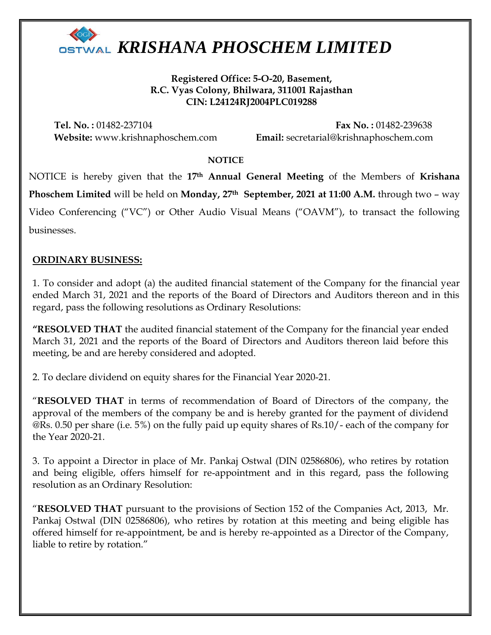

**Registered Office: 5-O-20, Basement, R.C. Vyas Colony, Bhilwara, 311001 Rajasthan CIN: L24124RJ2004PLC019288**

**Tel. No. :** 01482-237104 **Fax No. :** 01482-239638 **Website:** www.krishnaphoschem.com **Email:** secretarial@krishnaphoschem.com

### **NOTICE**

NOTICE is hereby given that the **17th Annual General Meeting** of the Members of **Krishana Phoschem Limited** will be held on **Monday, 27th September, 2021 at 11:00 A.M.** through two – way Video Conferencing ("VC") or Other Audio Visual Means ("OAVM"), to transact the following businesses.

### **ORDINARY BUSINESS:**

1. To consider and adopt (a) the audited financial statement of the Company for the financial year ended March 31, 2021 and the reports of the Board of Directors and Auditors thereon and in this regard, pass the following resolutions as Ordinary Resolutions:

**"RESOLVED THAT** the audited financial statement of the Company for the financial year ended March 31, 2021 and the reports of the Board of Directors and Auditors thereon laid before this meeting, be and are hereby considered and adopted.

2. To declare dividend on equity shares for the Financial Year 2020-21.

"**RESOLVED THAT** in terms of recommendation of Board of Directors of the company, the approval of the members of the company be and is hereby granted for the payment of dividend @Rs. 0.50 per share (i.e. 5%) on the fully paid up equity shares of Rs.10/- each of the company for the Year 2020-21.

3. To appoint a Director in place of Mr. Pankaj Ostwal (DIN 02586806), who retires by rotation and being eligible, offers himself for re-appointment and in this regard, pass the following resolution as an Ordinary Resolution:

"**RESOLVED THAT** pursuant to the provisions of Section 152 of the Companies Act, 2013, Mr. Pankaj Ostwal (DIN 02586806), who retires by rotation at this meeting and being eligible has offered himself for re-appointment, be and is hereby re-appointed as a Director of the Company, liable to retire by rotation."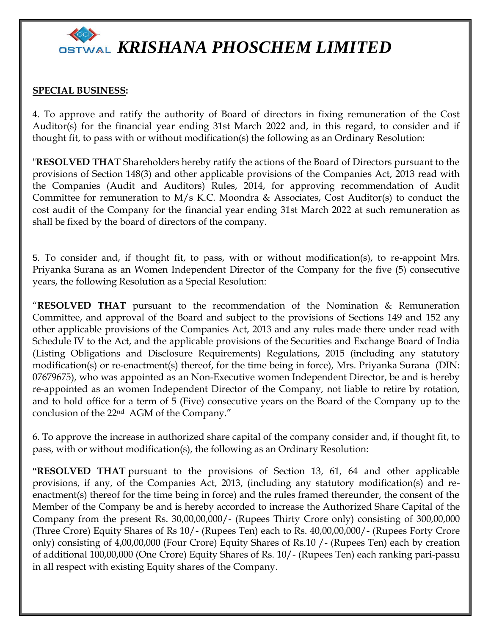

### **SPECIAL BUSINESS:**

4. To approve and ratify the authority of Board of directors in fixing remuneration of the Cost Auditor(s) for the financial year ending 31st March 2022 and, in this regard, to consider and if thought fit, to pass with or without modification(s) the following as an Ordinary Resolution:

"**RESOLVED THAT** Shareholders hereby ratify the actions of the Board of Directors pursuant to the provisions of Section 148(3) and other applicable provisions of the Companies Act, 2013 read with the Companies (Audit and Auditors) Rules, 2014, for approving recommendation of Audit Committee for remuneration to M/s K.C. Moondra  $\&$  Associates, Cost Auditor(s) to conduct the cost audit of the Company for the financial year ending 31st March 2022 at such remuneration as shall be fixed by the board of directors of the company.

5. To consider and, if thought fit, to pass, with or without modification(s), to re-appoint Mrs. Priyanka Surana as an Women Independent Director of the Company for the five (5) consecutive years, the following Resolution as a Special Resolution:

"**RESOLVED THAT** pursuant to the recommendation of the Nomination & Remuneration Committee, and approval of the Board and subject to the provisions of Sections 149 and 152 any other applicable provisions of the Companies Act, 2013 and any rules made there under read with Schedule IV to the Act, and the applicable provisions of the Securities and Exchange Board of India (Listing Obligations and Disclosure Requirements) Regulations, 2015 (including any statutory modification(s) or re-enactment(s) thereof, for the time being in force), Mrs. Priyanka Surana (DIN: 07679675), who was appointed as an Non-Executive women Independent Director, be and is hereby re-appointed as an women Independent Director of the Company, not liable to retire by rotation, and to hold office for a term of 5 (Five) consecutive years on the Board of the Company up to the conclusion of the 22nd AGM of the Company."

6. To approve the increase in authorized share capital of the company consider and, if thought fit, to pass, with or without modification(s), the following as an Ordinary Resolution:

**"RESOLVED THAT** pursuant to the provisions of Section 13, 61, 64 and other applicable provisions, if any, of the Companies Act, 2013, (including any statutory modification(s) and reenactment(s) thereof for the time being in force) and the rules framed thereunder, the consent of the Member of the Company be and is hereby accorded to increase the Authorized Share Capital of the Company from the present Rs. 30,00,00,000/- (Rupees Thirty Crore only) consisting of 300,00,000 (Three Crore) Equity Shares of Rs 10/- (Rupees Ten) each to Rs. 40,00,00,000/- (Rupees Forty Crore only) consisting of 4,00,00,000 (Four Crore) Equity Shares of Rs.10 /- (Rupees Ten) each by creation of additional 100,00,000 (One Crore) Equity Shares of Rs. 10/- (Rupees Ten) each ranking pari-passu in all respect with existing Equity shares of the Company.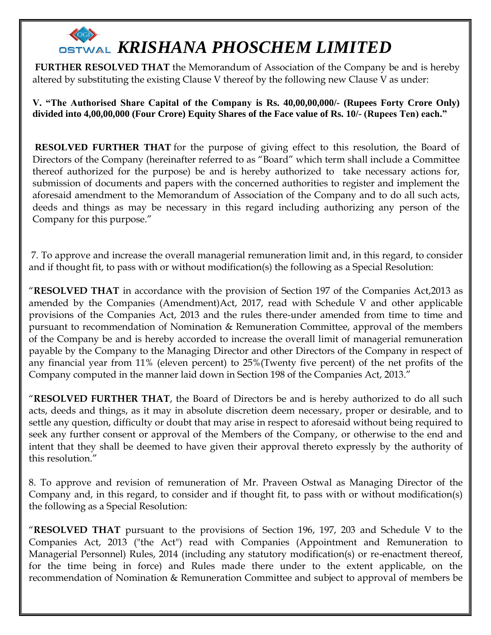**FURTHER RESOLVED THAT** the Memorandum of Association of the Company be and is hereby altered by substituting the existing Clause V thereof by the following new Clause V as under:

**V. "The Authorised Share Capital of the Company is Rs. 40,00,00,000/- (Rupees Forty Crore Only) divided into 4,00,00,000 (Four Crore) Equity Shares of the Face value of Rs. 10/- (Rupees Ten) each."**

**RESOLVED FURTHER THAT** for the purpose of giving effect to this resolution, the Board of Directors of the Company (hereinafter referred to as "Board" which term shall include a Committee thereof authorized for the purpose) be and is hereby authorized to take necessary actions for, submission of documents and papers with the concerned authorities to register and implement the aforesaid amendment to the Memorandum of Association of the Company and to do all such acts, deeds and things as may be necessary in this regard including authorizing any person of the Company for this purpose."

7. To approve and increase the overall managerial remuneration limit and, in this regard, to consider and if thought fit, to pass with or without modification(s) the following as a Special Resolution:

"**RESOLVED THAT** in accordance with the provision of Section 197 of the Companies Act,2013 as amended by the Companies (Amendment)Act, 2017, read with Schedule V and other applicable provisions of the Companies Act, 2013 and the rules there-under amended from time to time and pursuant to recommendation of Nomination & Remuneration Committee, approval of the members of the Company be and is hereby accorded to increase the overall limit of managerial remuneration payable by the Company to the Managing Director and other Directors of the Company in respect of any financial year from 11% (eleven percent) to 25%(Twenty five percent) of the net profits of the Company computed in the manner laid down in Section 198 of the Companies Act, 2013."

"**RESOLVED FURTHER THAT**, the Board of Directors be and is hereby authorized to do all such acts, deeds and things, as it may in absolute discretion deem necessary, proper or desirable, and to settle any question, difficulty or doubt that may arise in respect to aforesaid without being required to seek any further consent or approval of the Members of the Company, or otherwise to the end and intent that they shall be deemed to have given their approval thereto expressly by the authority of this resolution."

8. To approve and revision of remuneration of Mr. Praveen Ostwal as Managing Director of the Company and, in this regard, to consider and if thought fit, to pass with or without modification(s) the following as a Special Resolution:

"**RESOLVED THAT** pursuant to the provisions of Section 196, 197, 203 and Schedule V to the Companies Act, 2013 ("the Act") read with Companies (Appointment and Remuneration to Managerial Personnel) Rules, 2014 (including any statutory modification(s) or re-enactment thereof, for the time being in force) and Rules made there under to the extent applicable, on the recommendation of Nomination & Remuneration Committee and subject to approval of members be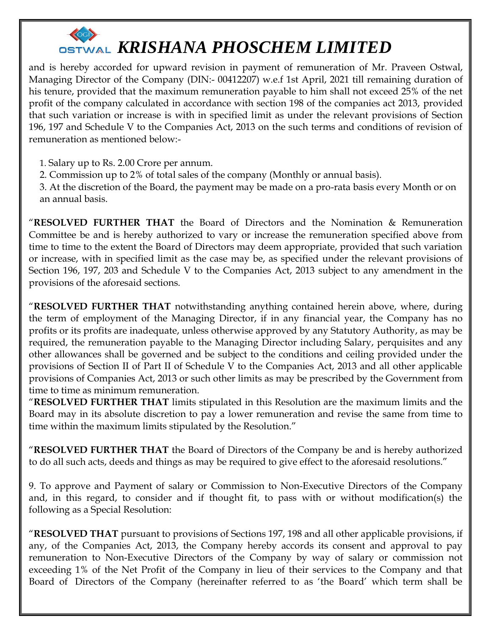

and is hereby accorded for upward revision in payment of remuneration of Mr. Praveen Ostwal, Managing Director of the Company (DIN:- 00412207) w.e.f 1st April, 2021 till remaining duration of his tenure, provided that the maximum remuneration payable to him shall not exceed 25% of the net profit of the company calculated in accordance with section 198 of the companies act 2013, provided that such variation or increase is with in specified limit as under the relevant provisions of Section 196, 197 and Schedule V to the Companies Act, 2013 on the such terms and conditions of revision of remuneration as mentioned below:-

1. Salary up to Rs. 2.00 Crore per annum.

2. Commission up to 2% of total sales of the company (Monthly or annual basis).

3. At the discretion of the Board, the payment may be made on a pro-rata basis every Month or on an annual basis.

"**RESOLVED FURTHER THAT** the Board of Directors and the Nomination & Remuneration Committee be and is hereby authorized to vary or increase the remuneration specified above from time to time to the extent the Board of Directors may deem appropriate, provided that such variation or increase, with in specified limit as the case may be, as specified under the relevant provisions of Section 196, 197, 203 and Schedule V to the Companies Act, 2013 subject to any amendment in the provisions of the aforesaid sections.

"**RESOLVED FURTHER THAT** notwithstanding anything contained herein above, where, during the term of employment of the Managing Director, if in any financial year, the Company has no profits or its profits are inadequate, unless otherwise approved by any Statutory Authority, as may be required, the remuneration payable to the Managing Director including Salary, perquisites and any other allowances shall be governed and be subject to the conditions and ceiling provided under the provisions of Section II of Part II of Schedule V to the Companies Act, 2013 and all other applicable provisions of Companies Act, 2013 or such other limits as may be prescribed by the Government from time to time as minimum remuneration.

"**RESOLVED FURTHER THAT** limits stipulated in this Resolution are the maximum limits and the Board may in its absolute discretion to pay a lower remuneration and revise the same from time to time within the maximum limits stipulated by the Resolution."

"**RESOLVED FURTHER THAT** the Board of Directors of the Company be and is hereby authorized to do all such acts, deeds and things as may be required to give effect to the aforesaid resolutions."

9. To approve and Payment of salary or Commission to Non-Executive Directors of the Company and, in this regard, to consider and if thought fit, to pass with or without modification(s) the following as a Special Resolution:

"**RESOLVED THAT** pursuant to provisions of Sections 197, 198 and all other applicable provisions, if any, of the Companies Act, 2013, the Company hereby accords its consent and approval to pay remuneration to Non-Executive Directors of the Company by way of salary or commission not exceeding 1% of the Net Profit of the Company in lieu of their services to the Company and that Board of Directors of the Company (hereinafter referred to as 'the Board' which term shall be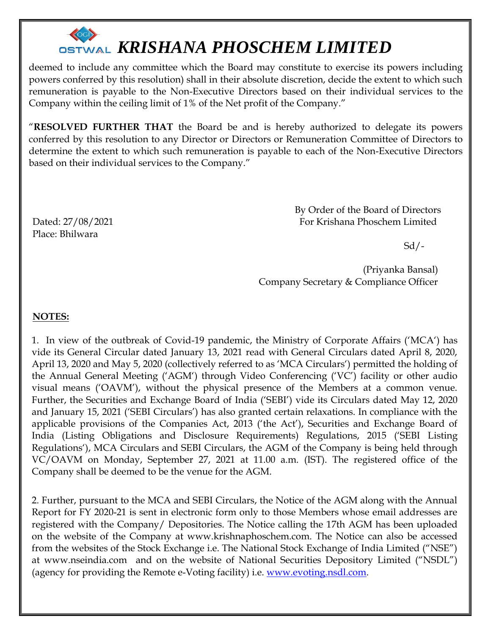

deemed to include any committee which the Board may constitute to exercise its powers including powers conferred by this resolution) shall in their absolute discretion, decide the extent to which such remuneration is payable to the Non-Executive Directors based on their individual services to the Company within the ceiling limit of 1% of the Net profit of the Company."

"**RESOLVED FURTHER THAT** the Board be and is hereby authorized to delegate its powers conferred by this resolution to any Director or Directors or Remuneration Committee of Directors to determine the extent to which such remuneration is payable to each of the Non-Executive Directors based on their individual services to the Company."

 By Order of the Board of Directors Dated: 27/08/2021 For Krishana Phoschem Limited

 $Sd$  /-

 (Priyanka Bansal) Company Secretary & Compliance Officer

### **NOTES:**

Place: Bhilwara

1. In view of the outbreak of Covid-19 pandemic, the Ministry of Corporate Affairs ('MCA') has vide its General Circular dated January 13, 2021 read with General Circulars dated April 8, 2020, April 13, 2020 and May 5, 2020 (collectively referred to as 'MCA Circulars') permitted the holding of the Annual General Meeting ('AGM') through Video Conferencing ('VC') facility or other audio visual means ('OAVM'), without the physical presence of the Members at a common venue. Further, the Securities and Exchange Board of India ('SEBI') vide its Circulars dated May 12, 2020 and January 15, 2021 ('SEBI Circulars') has also granted certain relaxations. In compliance with the applicable provisions of the Companies Act, 2013 ('the Act'), Securities and Exchange Board of India (Listing Obligations and Disclosure Requirements) Regulations, 2015 ('SEBI Listing Regulations'), MCA Circulars and SEBI Circulars, the AGM of the Company is being held through VC/OAVM on Monday, September 27, 2021 at 11.00 a.m. (IST). The registered office of the Company shall be deemed to be the venue for the AGM.

2. Further, pursuant to the MCA and SEBI Circulars, the Notice of the AGM along with the Annual Report for FY 2020-21 is sent in electronic form only to those Members whose email addresses are registered with the Company/ Depositories. The Notice calling the 17th AGM has been uploaded on the website of the Company at www.krishnaphoschem.com. The Notice can also be accessed from the websites of the Stock Exchange i.e. The National Stock Exchange of India Limited ("NSE") at www.nseindia.com and on the website of National Securities Depository Limited ("NSDL") (agency for providing the Remote e-Voting facility) i.e. [www.evoting.nsdl.com.](http://www.evoting.nsdl.com/)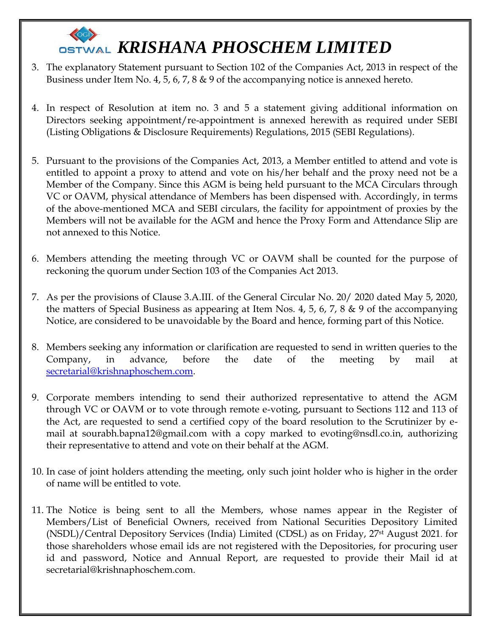- 3. The explanatory Statement pursuant to Section 102 of the Companies Act, 2013 in respect of the Business under Item No. 4, 5, 6, 7, 8 & 9 of the accompanying notice is annexed hereto.
- 4. In respect of Resolution at item no. 3 and 5 a statement giving additional information on Directors seeking appointment/re-appointment is annexed herewith as required under SEBI (Listing Obligations & Disclosure Requirements) Regulations, 2015 (SEBI Regulations).
- 5. Pursuant to the provisions of the Companies Act, 2013, a Member entitled to attend and vote is entitled to appoint a proxy to attend and vote on his/her behalf and the proxy need not be a Member of the Company. Since this AGM is being held pursuant to the MCA Circulars through VC or OAVM, physical attendance of Members has been dispensed with. Accordingly, in terms of the above-mentioned MCA and SEBI circulars, the facility for appointment of proxies by the Members will not be available for the AGM and hence the Proxy Form and Attendance Slip are not annexed to this Notice.
- 6. Members attending the meeting through VC or OAVM shall be counted for the purpose of reckoning the quorum under Section 103 of the Companies Act 2013.
- 7. As per the provisions of Clause 3.A.III. of the General Circular No. 20/ 2020 dated May 5, 2020, the matters of Special Business as appearing at Item Nos. 4, 5, 6, 7, 8 & 9 of the accompanying Notice, are considered to be unavoidable by the Board and hence, forming part of this Notice.
- 8. Members seeking any information or clarification are requested to send in written queries to the Company, in advance, before the date of the meeting by mail at [secretarial@krishnaphoschem.com.](mailto:secretarial@krishnaphoschem.com)
- 9. Corporate members intending to send their authorized representative to attend the AGM through VC or OAVM or to vote through remote e-voting, pursuant to Sections 112 and 113 of the Act, are requested to send a certified copy of the board resolution to the Scrutinizer by email at sourabh.bapna12@gmail.com with a copy marked to evoting@nsdl.co.in, authorizing their representative to attend and vote on their behalf at the AGM.
- 10. In case of joint holders attending the meeting, only such joint holder who is higher in the order of name will be entitled to vote.
- 11. The Notice is being sent to all the Members, whose names appear in the Register of Members/List of Beneficial Owners, received from National Securities Depository Limited (NSDL)/Central Depository Services (India) Limited (CDSL) as on Friday, 27st August 2021. for those shareholders whose email ids are not registered with the Depositories, for procuring user id and password, Notice and Annual Report, are requested to provide their Mail id at secretarial@krishnaphoschem.com.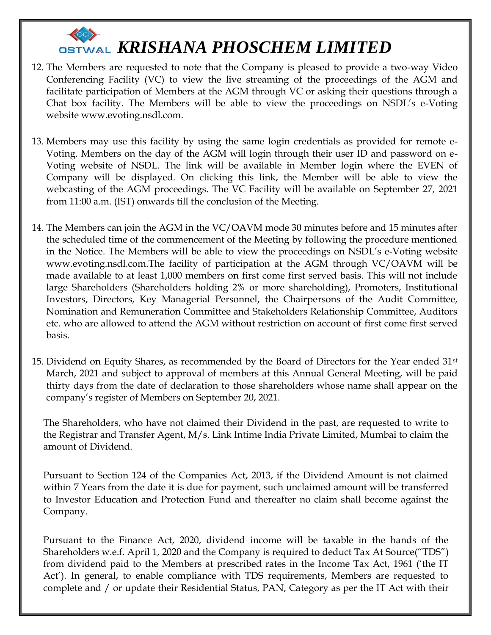

- 12. The Members are requested to note that the Company is pleased to provide a two-way Video Conferencing Facility (VC) to view the live streaming of the proceedings of the AGM and facilitate participation of Members at the AGM through VC or asking their questions through a Chat box facility. The Members will be able to view the proceedings on NSDL's e-Voting website [www.evoting.nsdl.com.](http://www.evoting.nsdl.com/)
- 13. Members may use this facility by using the same login credentials as provided for remote e-Voting. Members on the day of the AGM will login through their user ID and password on e-Voting website of NSDL. The link will be available in Member login where the EVEN of Company will be displayed. On clicking this link, the Member will be able to view the webcasting of the AGM proceedings. The VC Facility will be available on September 27, 2021 from 11:00 a.m. (IST) onwards till the conclusion of the Meeting.
- 14. The Members can join the AGM in the VC/OAVM mode 30 minutes before and 15 minutes after the scheduled time of the commencement of the Meeting by following the procedure mentioned in the Notice. The Members will be able to view the proceedings on NSDL's e-Voting website www.evoting.nsdl.com.The facility of participation at the AGM through VC/OAVM will be made available to at least 1,000 members on first come first served basis. This will not include large Shareholders (Shareholders holding 2% or more shareholding), Promoters, Institutional Investors, Directors, Key Managerial Personnel, the Chairpersons of the Audit Committee, Nomination and Remuneration Committee and Stakeholders Relationship Committee, Auditors etc. who are allowed to attend the AGM without restriction on account of first come first served basis.
- 15. Dividend on Equity Shares, as recommended by the Board of Directors for the Year ended  $31<sup>st</sup>$ March, 2021 and subject to approval of members at this Annual General Meeting, will be paid thirty days from the date of declaration to those shareholders whose name shall appear on the company's register of Members on September 20, 2021.

The Shareholders, who have not claimed their Dividend in the past, are requested to write to the Registrar and Transfer Agent, M/s. Link Intime India Private Limited, Mumbai to claim the amount of Dividend.

Pursuant to Section 124 of the Companies Act, 2013, if the Dividend Amount is not claimed within 7 Years from the date it is due for payment, such unclaimed amount will be transferred to Investor Education and Protection Fund and thereafter no claim shall become against the Company.

Pursuant to the Finance Act, 2020, dividend income will be taxable in the hands of the Shareholders w.e.f. April 1, 2020 and the Company is required to deduct Tax At Source("TDS") from dividend paid to the Members at prescribed rates in the Income Tax Act, 1961 ('the IT Act'). In general, to enable compliance with TDS requirements, Members are requested to complete and / or update their Residential Status, PAN, Category as per the IT Act with their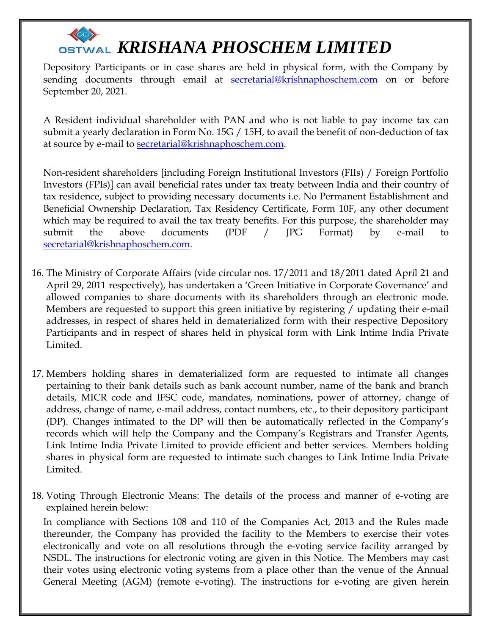Depository Participants or in case shares are held in physical form, with the Company by sending documents through email at [secretarial@krishnaphoschem.com](mailto:secretarial@krishnaphoschem.com) on or before September 20, 2021.

A Resident individual shareholder with PAN and who is not liable to pay income tax can submit a yearly declaration in Form No. 15G / 15H, to avail the benefit of non-deduction of tax at source by e-mail to [secretarial@krishnaphoschem.com.](mailto:secretarial@krishnaphoschem.com)

Non-resident shareholders [including Foreign Institutional Investors (FIIs) / Foreign Portfolio Investors (FPIs)] can avail beneficial rates under tax treaty between India and their country of tax residence, subject to providing necessary documents i.e. No Permanent Establishment and Beneficial Ownership Declaration, Tax Residency Certificate, Form 10F, any other document which may be required to avail the tax treaty benefits. For this purpose, the shareholder may submit the above documents (PDF / JPG Format) by e-mail to [secretarial@krishnaphoschem.com.](mailto:secretarial@krishnaphoschem.com)

- 16. The Ministry of Corporate Affairs (vide circular nos. 17/2011 and 18/2011 dated April 21 and April 29, 2011 respectively), has undertaken a 'Green Initiative in Corporate Governance' and allowed companies to share documents with its shareholders through an electronic mode. Members are requested to support this green initiative by registering / updating their e-mail addresses, in respect of shares held in dematerialized form with their respective Depository Participants and in respect of shares held in physical form with Link Intime India Private Limited.
- 17. Members holding shares in dematerialized form are requested to intimate all changes pertaining to their bank details such as bank account number, name of the bank and branch details, MICR code and IFSC code, mandates, nominations, power of attorney, change of address, change of name, e-mail address, contact numbers, etc., to their depository participant (DP). Changes intimated to the DP will then be automatically reflected in the Company's records which will help the Company and the Company's Registrars and Transfer Agents, Link Intime India Private Limited to provide efficient and better services. Members holding shares in physical form are requested to intimate such changes to Link Intime India Private Limited.
- 18. Voting Through Electronic Means: The details of the process and manner of e-voting are explained herein below:

In compliance with Sections 108 and 110 of the Companies Act, 2013 and the Rules made thereunder, the Company has provided the facility to the Members to exercise their votes electronically and vote on all resolutions through the e-voting service facility arranged by NSDL. The instructions for electronic voting are given in this Notice. The Members may cast their votes using electronic voting systems from a place other than the venue of the Annual General Meeting (AGM) (remote e-voting). The instructions for e-voting are given herein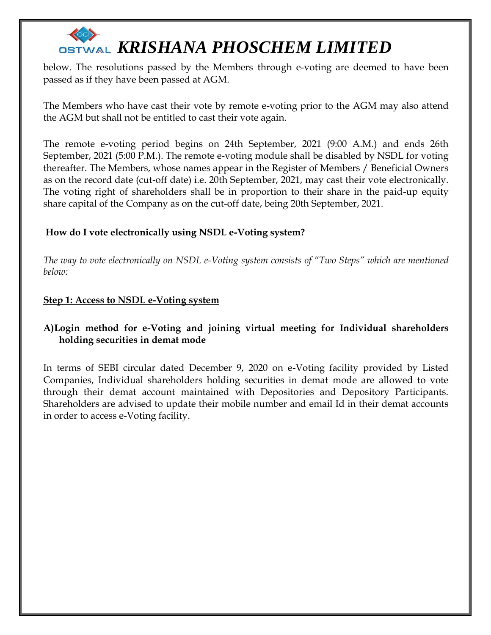below. The resolutions passed by the Members through e-voting are deemed to have been passed as if they have been passed at AGM.

The Members who have cast their vote by remote e-voting prior to the AGM may also attend the AGM but shall not be entitled to cast their vote again.

The remote e-voting period begins on 24th September, 2021 (9:00 A.M.) and ends 26th September, 2021 (5:00 P.M.). The remote e-voting module shall be disabled by NSDL for voting thereafter. The Members, whose names appear in the Register of Members / Beneficial Owners as on the record date (cut-off date) i.e. 20th September, 2021, may cast their vote electronically. The voting right of shareholders shall be in proportion to their share in the paid-up equity share capital of the Company as on the cut-off date, being 20th September, 2021.

### **How do I vote electronically using NSDL e-Voting system?**

*The way to vote electronically on NSDL e-Voting system consists of "Two Steps" which are mentioned below:*

### **Step 1: Access to NSDL e-Voting system**

### **A)Login method for e-Voting and joining virtual meeting for Individual shareholders holding securities in demat mode**

In terms of SEBI circular dated December 9, 2020 on e-Voting facility provided by Listed Companies, Individual shareholders holding securities in demat mode are allowed to vote through their demat account maintained with Depositories and Depository Participants. Shareholders are advised to update their mobile number and email Id in their demat accounts in order to access e-Voting facility.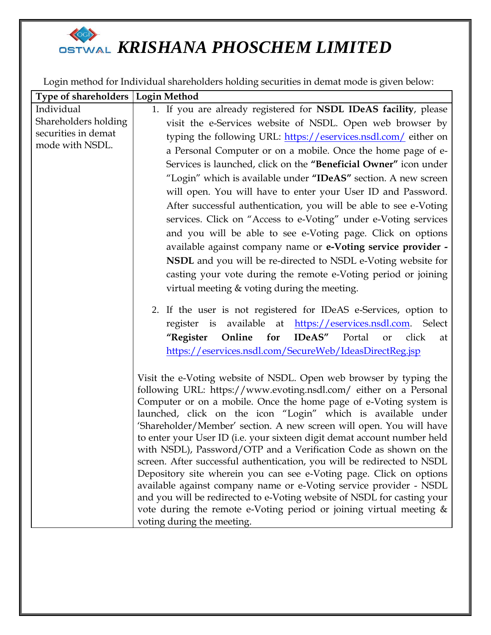## **OSTWAL KRISHANA PHOSCHEM LIMITED**

Login method for Individual shareholders holding securities in demat mode is given below:

| Type of shareholders   Login Method                                                                                                       |
|-------------------------------------------------------------------------------------------------------------------------------------------|
| 1. If you are already registered for NSDL IDeAS facility, please                                                                          |
| visit the e-Services website of NSDL. Open web browser by                                                                                 |
| typing the following URL: https://eservices.nsdl.com/either on                                                                            |
| a Personal Computer or on a mobile. Once the home page of e-                                                                              |
| Services is launched, click on the "Beneficial Owner" icon under                                                                          |
| "Login" which is available under "IDeAS" section. A new screen                                                                            |
| will open. You will have to enter your User ID and Password.                                                                              |
| After successful authentication, you will be able to see e-Voting                                                                         |
| services. Click on "Access to e-Voting" under e-Voting services                                                                           |
| and you will be able to see e-Voting page. Click on options                                                                               |
| available against company name or e-Voting service provider -                                                                             |
| NSDL and you will be re-directed to NSDL e-Voting website for                                                                             |
| casting your vote during the remote e-Voting period or joining                                                                            |
| virtual meeting & voting during the meeting.                                                                                              |
|                                                                                                                                           |
| 2. If the user is not registered for IDeAS e-Services, option to                                                                          |
| register is available at https://eservices.nsdl.com. Select                                                                               |
| <b>IDeAS"</b><br>"Register<br>Online for<br>Portal<br>click<br>or<br>at                                                                   |
| https://eservices.nsdl.com/SecureWeb/IdeasDirectReg.jsp                                                                                   |
| Visit the e-Voting website of NSDL. Open web browser by typing the                                                                        |
| following URL: https://www.evoting.nsdl.com/ either on a Personal                                                                         |
| Computer or on a mobile. Once the home page of e-Voting system is                                                                         |
| launched, click on the icon "Login" which is available under                                                                              |
| 'Shareholder/Member' section. A new screen will open. You will have                                                                       |
| to enter your User ID (i.e. your sixteen digit demat account number held                                                                  |
| with NSDL), Password/OTP and a Verification Code as shown on the                                                                          |
| screen. After successful authentication, you will be redirected to NSDL                                                                   |
| Depository site wherein you can see e-Voting page. Click on options<br>available against company name or e-Voting service provider - NSDL |
| and you will be redirected to e-Voting website of NSDL for casting your                                                                   |
| vote during the remote e-Voting period or joining virtual meeting &                                                                       |
| voting during the meeting.                                                                                                                |
|                                                                                                                                           |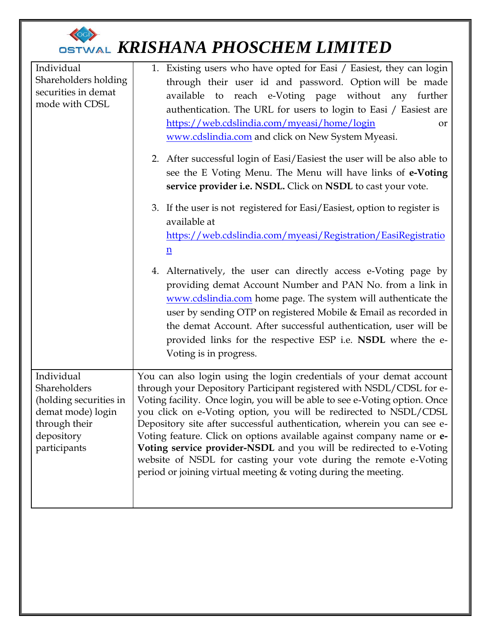| Individual<br>Shareholders holding<br>securities in demat<br>mode with CDSL                                              | 1. Existing users who have opted for Easi / Easiest, they can login<br>through their user id and password. Option will be made<br>to reach e-Voting page without any further<br>available<br>authentication. The URL for users to login to Easi / Easiest are<br>https://web.cdslindia.com/myeasi/home/login<br>or<br>www.cdslindia.com and click on New System Myeasi.                                                                                                                                                                                                                                                                                          |
|--------------------------------------------------------------------------------------------------------------------------|------------------------------------------------------------------------------------------------------------------------------------------------------------------------------------------------------------------------------------------------------------------------------------------------------------------------------------------------------------------------------------------------------------------------------------------------------------------------------------------------------------------------------------------------------------------------------------------------------------------------------------------------------------------|
|                                                                                                                          | 2. After successful login of Easi/Easiest the user will be also able to<br>see the E Voting Menu. The Menu will have links of e-Voting<br>service provider i.e. NSDL. Click on NSDL to cast your vote.                                                                                                                                                                                                                                                                                                                                                                                                                                                           |
|                                                                                                                          | 3. If the user is not registered for Easi/Easiest, option to register is<br>available at<br>https://web.cdslindia.com/myeasi/Registration/EasiRegistratio<br>$\underline{n}$<br>4. Alternatively, the user can directly access e-Voting page by<br>providing demat Account Number and PAN No. from a link in<br>www.cdslindia.com home page. The system will authenticate the<br>user by sending OTP on registered Mobile & Email as recorded in<br>the demat Account. After successful authentication, user will be<br>provided links for the respective ESP i.e. NSDL where the e-<br>Voting is in progress.                                                   |
| Individual<br>Shareholders<br>(holding securities in<br>demat mode) login<br>through their<br>depository<br>participants | You can also login using the login credentials of your demat account<br>through your Depository Participant registered with NSDL/CDSL for e-<br>Voting facility. Once login, you will be able to see e-Voting option. Once<br>you click on e-Voting option, you will be redirected to NSDL/CDSL<br>Depository site after successful authentication, wherein you can see e-<br>Voting feature. Click on options available against company name or e-<br>Voting service provider-NSDL and you will be redirected to e-Voting<br>website of NSDL for casting your vote during the remote e-Voting<br>period or joining virtual meeting & voting during the meeting. |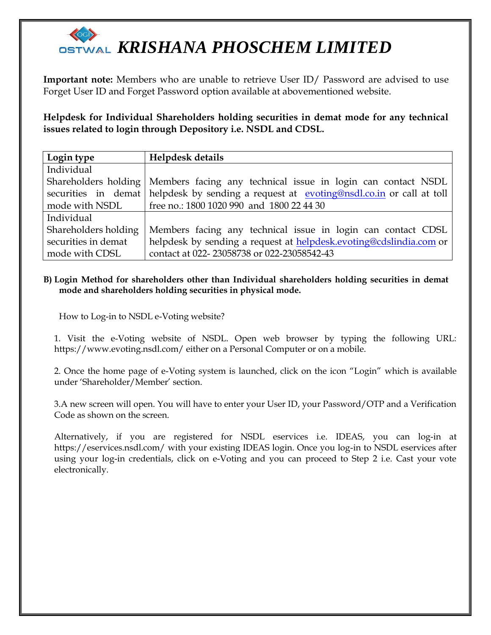**Important note:** Members who are unable to retrieve User ID/ Password are advised to use Forget User ID and Forget Password option available at abovementioned website.

**Helpdesk for Individual Shareholders holding securities in demat mode for any technical issues related to login through Depository i.e. NSDL and CDSL.**

| Login type           | Helpdesk details                                                                        |
|----------------------|-----------------------------------------------------------------------------------------|
| Individual           |                                                                                         |
| Shareholders holding | Members facing any technical issue in login can contact NSDL                            |
|                      | securities in demat helpdesk by sending a request at evoting@nsdl.co.in or call at toll |
| mode with NSDL       | free no.: 1800 1020 990 and 1800 22 44 30                                               |
| Individual           |                                                                                         |
| Shareholders holding | Members facing any technical issue in login can contact CDSL                            |
| securities in demat  | helpdesk by sending a request at helpdesk.evoting@cdslindia.com or                      |
| mode with CDSL       | contact at 022-23058738 or 022-23058542-43                                              |

#### **B) Login Method for shareholders other than Individual shareholders holding securities in demat mode and shareholders holding securities in physical mode.**

How to Log-in to NSDL e-Voting website?

1. Visit the e-Voting website of NSDL. Open web browser by typing the following URL: https://www.evoting.nsdl.com/ either on a Personal Computer or on a mobile.

2. Once the home page of e-Voting system is launched, click on the icon "Login" which is available under 'Shareholder/Member' section.

3.A new screen will open. You will have to enter your User ID, your Password/OTP and a Verification Code as shown on the screen.

Alternatively, if you are registered for NSDL eservices i.e. IDEAS, you can log-in at https://eservices.nsdl.com/ with your existing IDEAS login. Once you log-in to NSDL eservices after using your log-in credentials, click on e-Voting and you can proceed to Step 2 i.e. Cast your vote electronically.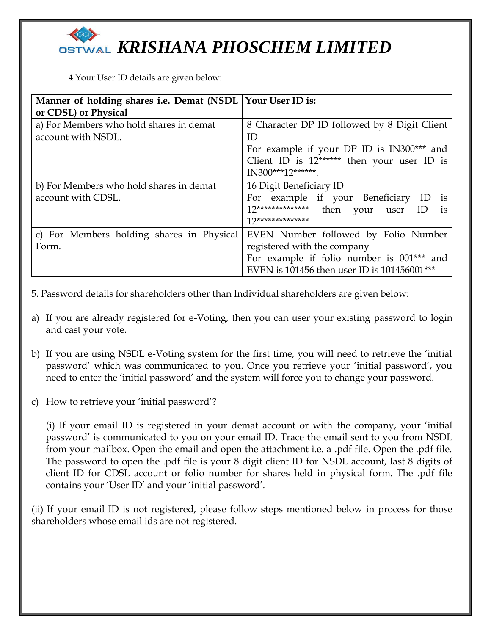4.Your User ID details are given below:

| Manner of holding shares i.e. Demat (NSDL   Your User ID is: |                                              |
|--------------------------------------------------------------|----------------------------------------------|
| or CDSL) or Physical                                         |                                              |
| a) For Members who hold shares in demat                      | 8 Character DP ID followed by 8 Digit Client |
| account with NSDL.                                           | ID                                           |
|                                                              | For example if your DP ID is IN300*** and    |
|                                                              | Client ID is $12*****$ then your user ID is  |
|                                                              | IN300***12*******.                           |
| b) For Members who hold shares in demat                      | 16 Digit Beneficiary ID                      |
| account with CDSL.                                           | For example if your Beneficiary ID<br>1S     |
|                                                              | <i>is</i>                                    |
|                                                              | $12*******************$                      |
| c) For Members holding shares in Physical                    | EVEN Number followed by Folio Number         |
| Form.                                                        | registered with the company                  |
|                                                              | For example if folio number is 001*** and    |
|                                                              | EVEN is 101456 then user ID is 101456001***  |

5. Password details for shareholders other than Individual shareholders are given below:

- a) If you are already registered for e-Voting, then you can user your existing password to login and cast your vote.
- b) If you are using NSDL e-Voting system for the first time, you will need to retrieve the 'initial password' which was communicated to you. Once you retrieve your 'initial password', you need to enter the 'initial password' and the system will force you to change your password.
- c) How to retrieve your 'initial password'?

(i) If your email ID is registered in your demat account or with the company, your 'initial password' is communicated to you on your email ID. Trace the email sent to you from NSDL from your mailbox. Open the email and open the attachment i.e. a .pdf file. Open the .pdf file. The password to open the .pdf file is your 8 digit client ID for NSDL account, last 8 digits of client ID for CDSL account or folio number for shares held in physical form. The .pdf file contains your 'User ID' and your 'initial password'.

(ii) If your email ID is not registered, please follow steps mentioned below in process for those shareholders whose email ids are not registered.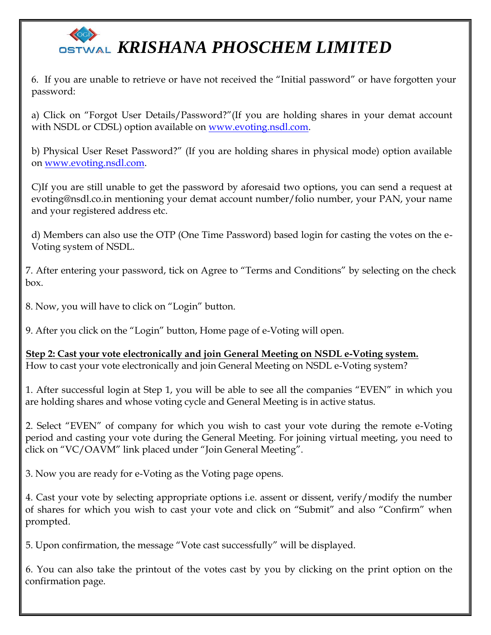6. If you are unable to retrieve or have not received the "Initial password" or have forgotten your password:

a) Click on "Forgot User Details/Password?"(If you are holding shares in your demat account with NSDL or CDSL) option available on [www.evoting.nsdl.com.](http://www.evoting.nsdl.com/)

b) Physical User Reset Password?" (If you are holding shares in physical mode) option available on [www.evoting.nsdl.com.](http://www.evoting.nsdl.com/)

C)If you are still unable to get the password by aforesaid two options, you can send a request at evoting@nsdl.co.in mentioning your demat account number/folio number, your PAN, your name and your registered address etc.

d) Members can also use the OTP (One Time Password) based login for casting the votes on the e-Voting system of NSDL.

7. After entering your password, tick on Agree to "Terms and Conditions" by selecting on the check box.

8. Now, you will have to click on "Login" button.

9. After you click on the "Login" button, Home page of e-Voting will open.

**Step 2: Cast your vote electronically and join General Meeting on NSDL e-Voting system.** How to cast your vote electronically and join General Meeting on NSDL e-Voting system?

1. After successful login at Step 1, you will be able to see all the companies "EVEN" in which you are holding shares and whose voting cycle and General Meeting is in active status.

2. Select "EVEN" of company for which you wish to cast your vote during the remote e-Voting period and casting your vote during the General Meeting. For joining virtual meeting, you need to click on "VC/OAVM" link placed under "Join General Meeting".

3. Now you are ready for e-Voting as the Voting page opens.

4. Cast your vote by selecting appropriate options i.e. assent or dissent, verify/modify the number of shares for which you wish to cast your vote and click on "Submit" and also "Confirm" when prompted.

5. Upon confirmation, the message "Vote cast successfully" will be displayed.

6. You can also take the printout of the votes cast by you by clicking on the print option on the confirmation page.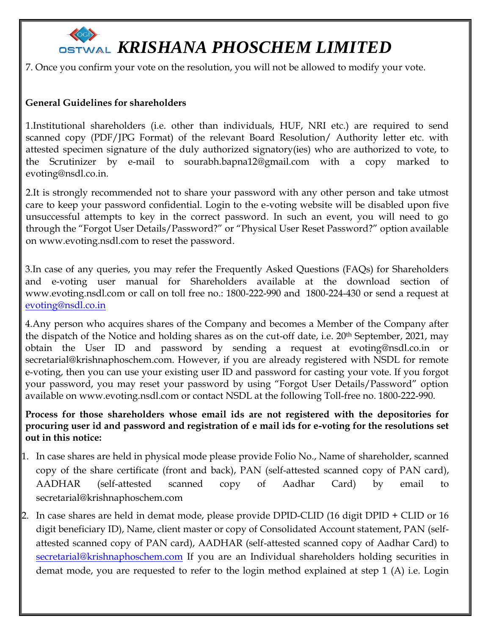7. Once you confirm your vote on the resolution, you will not be allowed to modify your vote.

### **General Guidelines for shareholders**

1.Institutional shareholders (i.e. other than individuals, HUF, NRI etc.) are required to send scanned copy (PDF/JPG Format) of the relevant Board Resolution/ Authority letter etc. with attested specimen signature of the duly authorized signatory(ies) who are authorized to vote, to the Scrutinizer by e-mail to sourabh.bapna12@gmail.com with a copy marked to [evoting@nsdl.co.in.](mailto:evoting@nsdl.co.in)

2.It is strongly recommended not to share your password with any other person and take utmost care to keep your password confidential. Login to the e-voting website will be disabled upon five unsuccessful attempts to key in the correct password. In such an event, you will need to go through the "Forgot User Details/Password?" or "Physical User Reset Password?" option available on www.evoting.nsdl.com to reset the password.

3.In case of any queries, you may refer the Frequently Asked Questions (FAQs) for Shareholders and e-voting user manual for Shareholders available at the download section of www.evoting.nsdl.com or call on toll free no.: 1800-222-990 and 1800-224-430 or send a request at [evoting@nsdl.co.in](mailto:evoting@nsdl.co.in)

4.Any person who acquires shares of the Company and becomes a Member of the Company after the dispatch of the Notice and holding shares as on the cut-off date, i.e. 20th September, 2021, may obtain the User ID and password by sending a request at evoting@nsdl.co.in or secretarial@krishnaphoschem.com. However, if you are already registered with NSDL for remote e-voting, then you can use your existing user ID and password for casting your vote. If you forgot your password, you may reset your password by using "Forgot User Details/Password" option available on www.evoting.nsdl.com or contact NSDL at the following Toll-free no. 1800-222-990.

**Process for those shareholders whose email ids are not registered with the depositories for procuring user id and password and registration of e mail ids for e-voting for the resolutions set out in this notice:**

- 1. In case shares are held in physical mode please provide Folio No., Name of shareholder, scanned copy of the share certificate (front and back), PAN (self-attested scanned copy of PAN card), AADHAR (self-attested scanned copy of Aadhar Card) by email to secretarial@krishnaphoschem.com
- 2. In case shares are held in demat mode, please provide DPID-CLID (16 digit DPID + CLID or 16 digit beneficiary ID), Name, client master or copy of Consolidated Account statement, PAN (selfattested scanned copy of PAN card), AADHAR (self-attested scanned copy of Aadhar Card) to [secretarial@krishnaphoschem.com](mailto:secretarial@krishnaphoschem.com) If you are an Individual shareholders holding securities in demat mode, you are requested to refer to the login method explained at step 1 (A) i.e. Login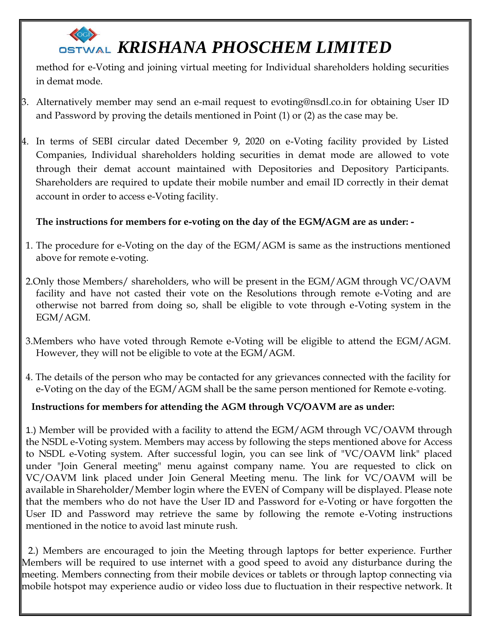method for e-Voting and joining virtual meeting for Individual shareholders holding securities in demat mode.

- 3. Alternatively member may send an e-mail request to evoting@nsdl.co.in for obtaining User ID and Password by proving the details mentioned in Point (1) or (2) as the case may be.
- 4. In terms of SEBI circular dated December 9, 2020 on e-Voting facility provided by Listed Companies, Individual shareholders holding securities in demat mode are allowed to vote through their demat account maintained with Depositories and Depository Participants. Shareholders are required to update their mobile number and email ID correctly in their demat account in order to access e-Voting facility.

### **The instructions for members for e-voting on the day of the EGM/AGM are as under: -**

- 1. The procedure for e-Voting on the day of the EGM/AGM is same as the instructions mentioned above for remote e-voting.
- 2.Only those Members/ shareholders, who will be present in the EGM/AGM through VC/OAVM facility and have not casted their vote on the Resolutions through remote e-Voting and are otherwise not barred from doing so, shall be eligible to vote through e-Voting system in the EGM/AGM.
- 3.Members who have voted through Remote e-Voting will be eligible to attend the EGM/AGM. However, they will not be eligible to vote at the EGM/AGM.
- 4. The details of the person who may be contacted for any grievances connected with the facility for e-Voting on the day of the EGM/AGM shall be the same person mentioned for Remote e-voting.

### **Instructions for members for attending the AGM through VC/OAVM are as under:**

1.) Member will be provided with a facility to attend the EGM/AGM through VC/OAVM through the NSDL e-Voting system. Members may access by following the steps mentioned above for Access to NSDL e-Voting system. After successful login, you can see link of "VC/OAVM link" placed under "Join General meeting" menu against company name. You are requested to click on VC/OAVM link placed under Join General Meeting menu. The link for VC/OAVM will be available in Shareholder/Member login where the EVEN of Company will be displayed. Please note that the members who do not have the User ID and Password for e-Voting or have forgotten the User ID and Password may retrieve the same by following the remote e-Voting instructions mentioned in the notice to avoid last minute rush.

2.) Members are encouraged to join the Meeting through laptops for better experience. Further Members will be required to use internet with a good speed to avoid any disturbance during the meeting. Members connecting from their mobile devices or tablets or through laptop connecting via mobile hotspot may experience audio or video loss due to fluctuation in their respective network. It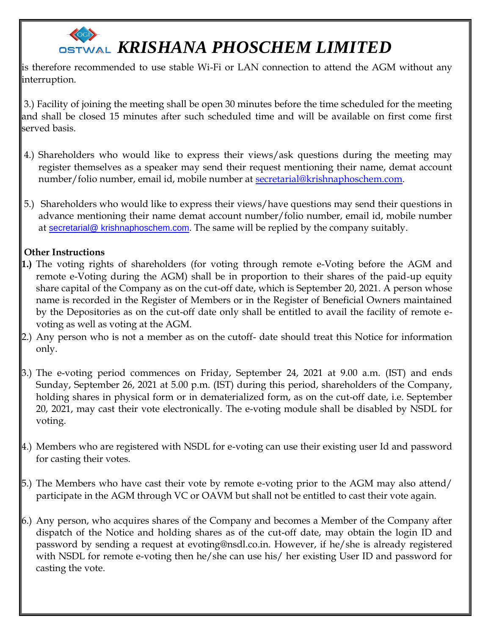is therefore recommended to use stable Wi-Fi or LAN connection to attend the AGM without any interruption.

3.) Facility of joining the meeting shall be open 30 minutes before the time scheduled for the meeting and shall be closed 15 minutes after such scheduled time and will be available on first come first served basis.

- 4.) Shareholders who would like to express their views/ask questions during the meeting may register themselves as a speaker may send their request mentioning their name, demat account number/folio number, email id, mobile number at [secretarial@krishnaphoschem.com.](mailto:secretarial@krishnaphoschem.com)
- 5.) Shareholders who would like to express their views/have questions may send their questions in advance mentioning their name demat account number/folio number, email id, mobile number at secretarial@ krishnaphoschem.com. The same will be replied by the company suitably.

### **Other Instructions**

- **1.)** The voting rights of shareholders (for voting through remote e-Voting before the AGM and remote e-Voting during the AGM) shall be in proportion to their shares of the paid-up equity share capital of the Company as on the cut-off date, which is September 20, 2021. A person whose name is recorded in the Register of Members or in the Register of Beneficial Owners maintained by the Depositories as on the cut-off date only shall be entitled to avail the facility of remote evoting as well as voting at the AGM.
- 2.) Any person who is not a member as on the cutoff- date should treat this Notice for information only.
- 3.) The e-voting period commences on Friday, September 24, 2021 at 9.00 a.m. (IST) and ends Sunday, September 26, 2021 at 5.00 p.m. (IST) during this period, shareholders of the Company, holding shares in physical form or in dematerialized form, as on the cut-off date, i.e. September 20, 2021, may cast their vote electronically. The e-voting module shall be disabled by NSDL for voting.
- 4.) Members who are registered with NSDL for e-voting can use their existing user Id and password for casting their votes.
- 5.) The Members who have cast their vote by remote e-voting prior to the AGM may also attend/ participate in the AGM through VC or OAVM but shall not be entitled to cast their vote again.
- 6.) Any person, who acquires shares of the Company and becomes a Member of the Company after dispatch of the Notice and holding shares as of the cut-off date, may obtain the login ID and password by sending a request at evoting@nsdl.co.in. However, if he/she is already registered with NSDL for remote e-voting then he/she can use his/ her existing User ID and password for casting the vote.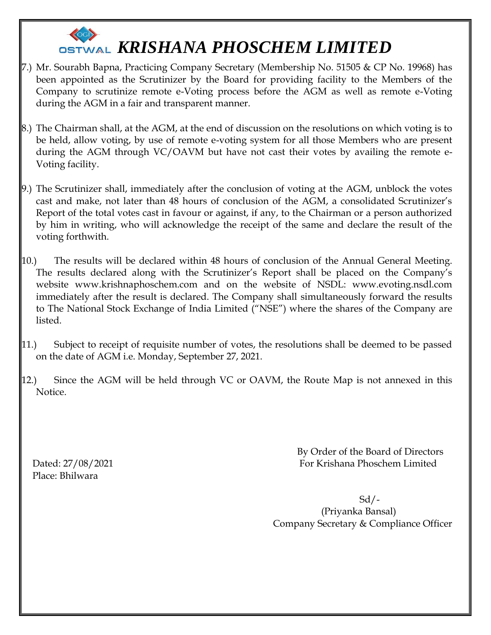

- 7.) Mr. Sourabh Bapna, Practicing Company Secretary (Membership No. 51505 & CP No. 19968) has been appointed as the Scrutinizer by the Board for providing facility to the Members of the Company to scrutinize remote e-Voting process before the AGM as well as remote e-Voting during the AGM in a fair and transparent manner.
- 8.) The Chairman shall, at the AGM, at the end of discussion on the resolutions on which voting is to be held, allow voting, by use of remote e-voting system for all those Members who are present during the AGM through VC/OAVM but have not cast their votes by availing the remote e-Voting facility.
- 9.) The Scrutinizer shall, immediately after the conclusion of voting at the AGM, unblock the votes cast and make, not later than 48 hours of conclusion of the AGM, a consolidated Scrutinizer's Report of the total votes cast in favour or against, if any, to the Chairman or a person authorized by him in writing, who will acknowledge the receipt of the same and declare the result of the voting forthwith.
- 10.) The results will be declared within 48 hours of conclusion of the Annual General Meeting. The results declared along with the Scrutinizer's Report shall be placed on the Company's website www.krishnaphoschem.com and on the website of NSDL: www.evoting.nsdl.com immediately after the result is declared. The Company shall simultaneously forward the results to The National Stock Exchange of India Limited ("NSE") where the shares of the Company are listed.
- 11.) Subject to receipt of requisite number of votes, the resolutions shall be deemed to be passed on the date of AGM i.e. Monday, September 27, 2021.
- 12.) Since the AGM will be held through VC or OAVM, the Route Map is not annexed in this Notice.

Place: Bhilwara

 By Order of the Board of Directors Dated: 27/08/2021 For Krishana Phoschem Limited

 Sd/- (Priyanka Bansal) Company Secretary & Compliance Officer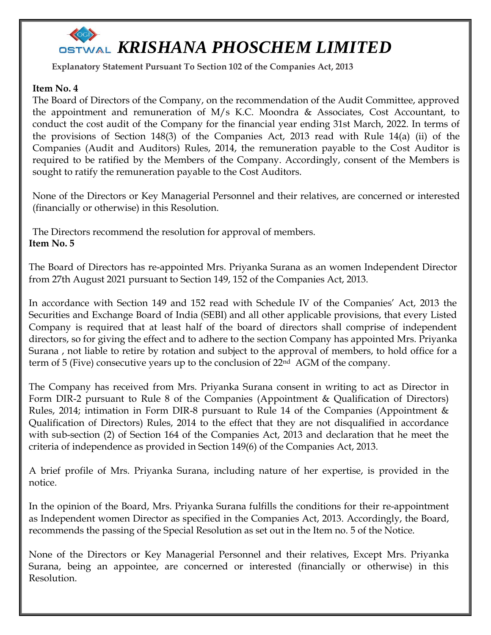

**Explanatory Statement Pursuant To Section 102 of the Companies Act, 2013**

### **Item No. 4**

The Board of Directors of the Company, on the recommendation of the Audit Committee, approved the appointment and remuneration of  $M/s$  K.C. Moondra & Associates, Cost Accountant, to conduct the cost audit of the Company for the financial year ending 31st March, 2022. In terms of the provisions of Section 148(3) of the Companies Act, 2013 read with Rule 14(a) (ii) of the Companies (Audit and Auditors) Rules, 2014, the remuneration payable to the Cost Auditor is required to be ratified by the Members of the Company. Accordingly, consent of the Members is sought to ratify the remuneration payable to the Cost Auditors.

None of the Directors or Key Managerial Personnel and their relatives, are concerned or interested (financially or otherwise) in this Resolution.

The Directors recommend the resolution for approval of members. **Item No. 5**

The Board of Directors has re-appointed Mrs. Priyanka Surana as an women Independent Director from 27th August 2021 pursuant to Section 149, 152 of the Companies Act, 2013.

In accordance with Section 149 and 152 read with Schedule IV of the Companies' Act, 2013 the Securities and Exchange Board of India (SEBI) and all other applicable provisions, that every Listed Company is required that at least half of the board of directors shall comprise of independent directors, so for giving the effect and to adhere to the section Company has appointed Mrs. Priyanka Surana , not liable to retire by rotation and subject to the approval of members, to hold office for a term of 5 (Five) consecutive years up to the conclusion of 22<sup>nd</sup> AGM of the company.

The Company has received from Mrs. Priyanka Surana consent in writing to act as Director in Form DIR-2 pursuant to Rule 8 of the Companies (Appointment & Qualification of Directors) Rules, 2014; intimation in Form DIR-8 pursuant to Rule 14 of the Companies (Appointment & Qualification of Directors) Rules, 2014 to the effect that they are not disqualified in accordance with sub-section (2) of Section 164 of the Companies Act, 2013 and declaration that he meet the criteria of independence as provided in Section 149(6) of the Companies Act, 2013.

A brief profile of Mrs. Priyanka Surana, including nature of her expertise, is provided in the notice.

In the opinion of the Board, Mrs. Priyanka Surana fulfills the conditions for their re-appointment as Independent women Director as specified in the Companies Act, 2013. Accordingly, the Board, recommends the passing of the Special Resolution as set out in the Item no. 5 of the Notice.

None of the Directors or Key Managerial Personnel and their relatives, Except Mrs. Priyanka Surana, being an appointee, are concerned or interested (financially or otherwise) in this Resolution.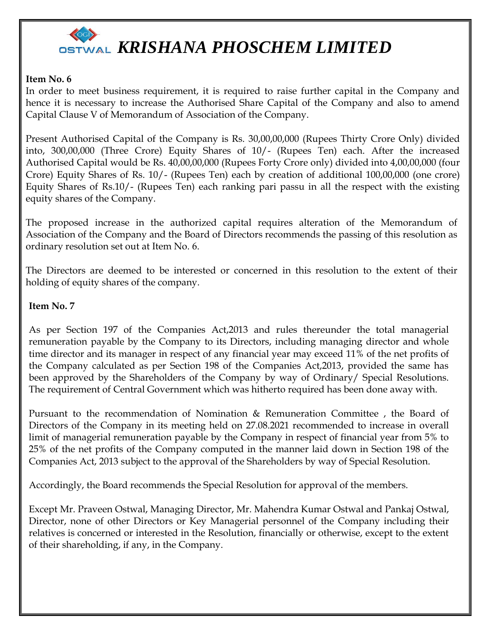

### **Item No. 6**

In order to meet business requirement, it is required to raise further capital in the Company and hence it is necessary to increase the Authorised Share Capital of the Company and also to amend Capital Clause V of Memorandum of Association of the Company.

Present Authorised Capital of the Company is Rs. 30,00,00,000 (Rupees Thirty Crore Only) divided into, 300,00,000 (Three Crore) Equity Shares of 10/- (Rupees Ten) each. After the increased Authorised Capital would be Rs. 40,00,00,000 (Rupees Forty Crore only) divided into 4,00,00,000 (four Crore) Equity Shares of Rs. 10/- (Rupees Ten) each by creation of additional 100,00,000 (one crore) Equity Shares of Rs.10/- (Rupees Ten) each ranking pari passu in all the respect with the existing equity shares of the Company.

The proposed increase in the authorized capital requires alteration of the Memorandum of Association of the Company and the Board of Directors recommends the passing of this resolution as ordinary resolution set out at Item No. 6.

The Directors are deemed to be interested or concerned in this resolution to the extent of their holding of equity shares of the company.

### **Item No. 7**

As per Section 197 of the Companies Act,2013 and rules thereunder the total managerial remuneration payable by the Company to its Directors, including managing director and whole time director and its manager in respect of any financial year may exceed 11% of the net profits of the Company calculated as per Section 198 of the Companies Act,2013, provided the same has been approved by the Shareholders of the Company by way of Ordinary/ Special Resolutions. The requirement of Central Government which was hitherto required has been done away with.

Pursuant to the recommendation of Nomination & Remuneration Committee , the Board of Directors of the Company in its meeting held on 27.08.2021 recommended to increase in overall limit of managerial remuneration payable by the Company in respect of financial year from 5% to 25% of the net profits of the Company computed in the manner laid down in Section 198 of the Companies Act, 2013 subject to the approval of the Shareholders by way of Special Resolution.

Accordingly, the Board recommends the Special Resolution for approval of the members.

Except Mr. Praveen Ostwal, Managing Director, Mr. Mahendra Kumar Ostwal and Pankaj Ostwal, Director, none of other Directors or Key Managerial personnel of the Company including their relatives is concerned or interested in the Resolution, financially or otherwise, except to the extent of their shareholding, if any, in the Company.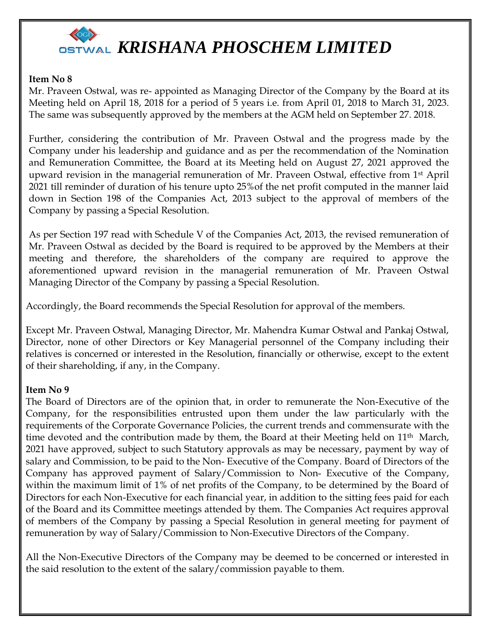

### **Item No 8**

Mr. Praveen Ostwal, was re- appointed as Managing Director of the Company by the Board at its Meeting held on April 18, 2018 for a period of 5 years i.e. from April 01, 2018 to March 31, 2023. The same was subsequently approved by the members at the AGM held on September 27. 2018.

Further, considering the contribution of Mr. Praveen Ostwal and the progress made by the Company under his leadership and guidance and as per the recommendation of the Nomination and Remuneration Committee, the Board at its Meeting held on August 27, 2021 approved the upward revision in the managerial remuneration of Mr. Praveen Ostwal, effective from 1st April 2021 till reminder of duration of his tenure upto 25%of the net profit computed in the manner laid down in Section 198 of the Companies Act, 2013 subject to the approval of members of the Company by passing a Special Resolution.

As per Section 197 read with Schedule V of the Companies Act, 2013, the revised remuneration of Mr. Praveen Ostwal as decided by the Board is required to be approved by the Members at their meeting and therefore, the shareholders of the company are required to approve the aforementioned upward revision in the managerial remuneration of Mr. Praveen Ostwal Managing Director of the Company by passing a Special Resolution.

Accordingly, the Board recommends the Special Resolution for approval of the members.

Except Mr. Praveen Ostwal, Managing Director, Mr. Mahendra Kumar Ostwal and Pankaj Ostwal, Director, none of other Directors or Key Managerial personnel of the Company including their relatives is concerned or interested in the Resolution, financially or otherwise, except to the extent of their shareholding, if any, in the Company.

### **Item No 9**

The Board of Directors are of the opinion that, in order to remunerate the Non-Executive of the Company, for the responsibilities entrusted upon them under the law particularly with the requirements of the Corporate Governance Policies, the current trends and commensurate with the time devoted and the contribution made by them, the Board at their Meeting held on  $11<sup>th</sup>$  March, 2021 have approved, subject to such Statutory approvals as may be necessary, payment by way of salary and Commission, to be paid to the Non- Executive of the Company. Board of Directors of the Company has approved payment of Salary/Commission to Non- Executive of the Company, within the maximum limit of 1% of net profits of the Company, to be determined by the Board of Directors for each Non-Executive for each financial year, in addition to the sitting fees paid for each of the Board and its Committee meetings attended by them. The Companies Act requires approval of members of the Company by passing a Special Resolution in general meeting for payment of remuneration by way of Salary/Commission to Non-Executive Directors of the Company.

All the Non-Executive Directors of the Company may be deemed to be concerned or interested in the said resolution to the extent of the salary/commission payable to them.